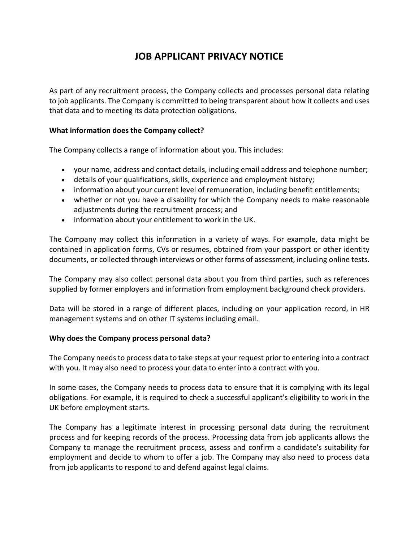# **JOB APPLICANT PRIVACY NOTICE**

As part of any recruitment process, the Company collects and processes personal data relating to job applicants. The Company is committed to being transparent about how it collects and uses that data and to meeting its data protection obligations.

#### **What information does the Company collect?**

The Company collects a range of information about you. This includes:

- your name, address and contact details, including email address and telephone number;
- details of your qualifications, skills, experience and employment history;
- information about your current level of remuneration, including benefit entitlements;
- whether or not you have a disability for which the Company needs to make reasonable adjustments during the recruitment process; and
- information about your entitlement to work in the UK.

The Company may collect this information in a variety of ways. For example, data might be contained in application forms, CVs or resumes, obtained from your passport or other identity documents, or collected through interviews or other forms of assessment, including online tests.

The Company may also collect personal data about you from third parties, such as references supplied by former employers and information from employment background check providers.

Data will be stored in a range of different places, including on your application record, in HR management systems and on other IT systems including email.

#### **Why does the Company process personal data?**

The Company needs to process data to take steps at your request prior to entering into a contract with you. It may also need to process your data to enter into a contract with you.

In some cases, the Company needs to process data to ensure that it is complying with its legal obligations. For example, it is required to check a successful applicant's eligibility to work in the UK before employment starts.

The Company has a legitimate interest in processing personal data during the recruitment process and for keeping records of the process. Processing data from job applicants allows the Company to manage the recruitment process, assess and confirm a candidate's suitability for employment and decide to whom to offer a job. The Company may also need to process data from job applicants to respond to and defend against legal claims.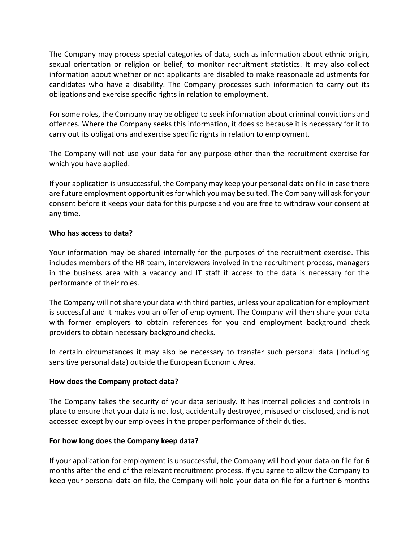The Company may process special categories of data, such as information about ethnic origin, sexual orientation or religion or belief, to monitor recruitment statistics. It may also collect information about whether or not applicants are disabled to make reasonable adjustments for candidates who have a disability. The Company processes such information to carry out its obligations and exercise specific rights in relation to employment.

For some roles, the Company may be obliged to seek information about criminal convictions and offences. Where the Company seeks this information, it does so because it is necessary for it to carry out its obligations and exercise specific rights in relation to employment.

The Company will not use your data for any purpose other than the recruitment exercise for which you have applied.

If your application is unsuccessful, the Company may keep your personal data on file in case there are future employment opportunities for which you may be suited. The Company will ask for your consent before it keeps your data for this purpose and you are free to withdraw your consent at any time.

#### **Who has access to data?**

Your information may be shared internally for the purposes of the recruitment exercise. This includes members of the HR team, interviewers involved in the recruitment process, managers in the business area with a vacancy and IT staff if access to the data is necessary for the performance of their roles.

The Company will not share your data with third parties, unless your application for employment is successful and it makes you an offer of employment. The Company will then share your data with former employers to obtain references for you and employment background check providers to obtain necessary background checks.

In certain circumstances it may also be necessary to transfer such personal data (including sensitive personal data) outside the European Economic Area.

## **How does the Company protect data?**

The Company takes the security of your data seriously. It has internal policies and controls in place to ensure that your data is not lost, accidentally destroyed, misused or disclosed, and is not accessed except by our employees in the proper performance of their duties.

## **For how long does the Company keep data?**

If your application for employment is unsuccessful, the Company will hold your data on file for 6 months after the end of the relevant recruitment process. If you agree to allow the Company to keep your personal data on file, the Company will hold your data on file for a further 6 months